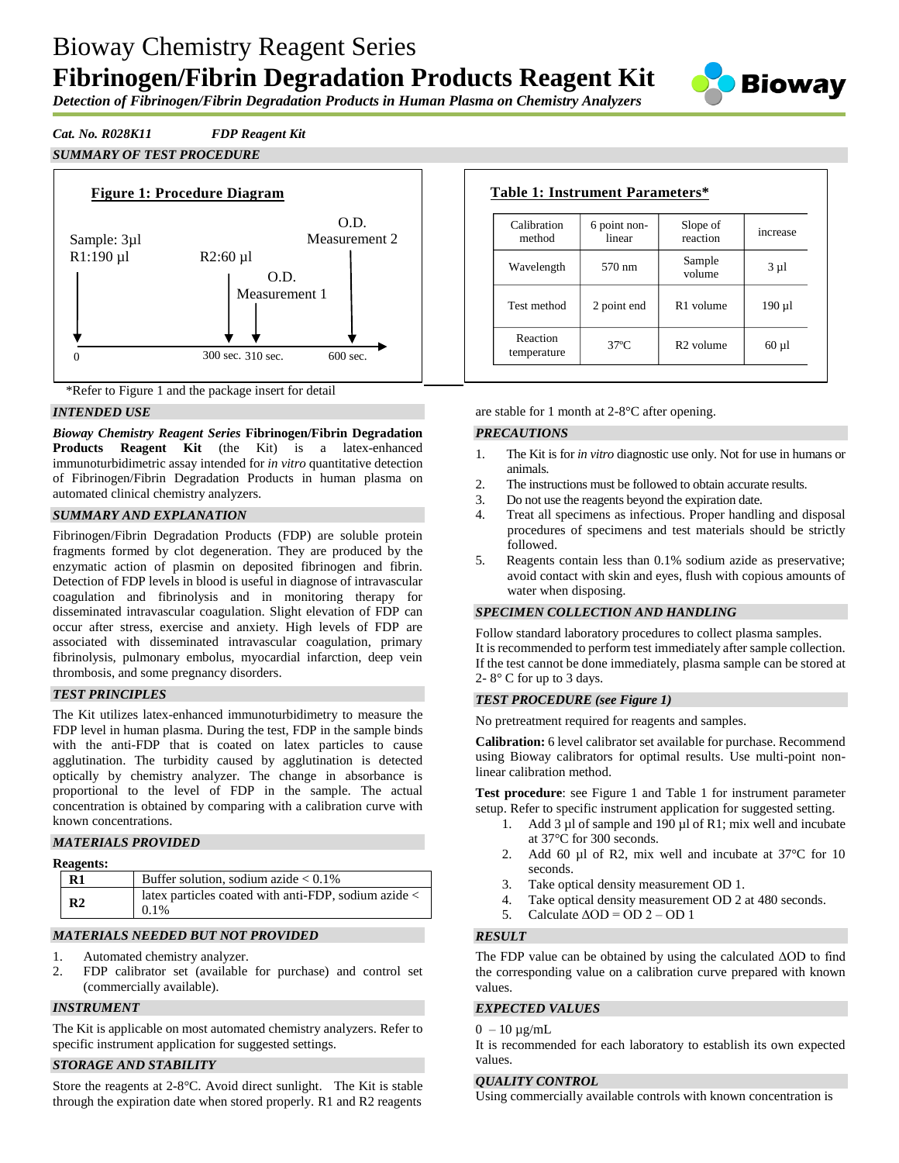# Bioway Chemistry Reagent Series **Fibrinogen/Fibrin Degradation Products Reagent Kit**



*Detection of Fibrinogen/Fibrin Degradation Products in Human Plasma on Chemistry Analyzers*

## *Cat. No. R028K11 FDP Reagent Kit*

*SUMMARY OF TEST PROCEDURE*





### *INTENDED USE*

*Bioway Chemistry Reagent Series* **Fibrinogen/Fibrin Degradation Products Reagent Kit** (the Kit) is a latex-enhanced immunoturbidimetric assay intended for *in vitro* quantitative detection of Fibrinogen/Fibrin Degradation Products in human plasma on automated clinical chemistry analyzers.

#### *SUMMARY AND EXPLANATION*

Fibrinogen/Fibrin Degradation Products (FDP) are soluble protein fragments formed by clot degeneration. They are produced by the enzymatic action of plasmin on deposited fibrinogen and fibrin. Detection of FDP levels in blood is useful in diagnose of intravascular coagulation and fibrinolysis and in monitoring therapy for disseminated intravascular coagulation. Slight elevation of FDP can occur after stress, exercise and anxiety. High levels of FDP are associated with disseminated intravascular coagulation, primary fibrinolysis, pulmonary embolus, myocardial infarction, deep vein thrombosis, and some pregnancy disorders.

#### *TEST PRINCIPLES*

The Kit utilizes latex-enhanced immunoturbidimetry to measure the FDP level in human plasma. During the test, FDP in the sample binds with the anti-FDP that is coated on latex particles to cause agglutination. The turbidity caused by agglutination is detected optically by chemistry analyzer. The change in absorbance is proportional to the level of FDP in the sample. The actual concentration is obtained by comparing with a calibration curve with known concentrations.

## *MATERIALS PROVIDED*

#### **Reagents:**

| R <sub>1</sub> | Buffer solution, sodium azide $< 0.1\%$                                         |
|----------------|---------------------------------------------------------------------------------|
| R <sub>2</sub> | latex particles coated with anti-FDP, sodium azide $\langle \ \vert$<br>$0.1\%$ |

## *MATERIALS NEEDED BUT NOT PROVIDED*

- 1. Automated chemistry analyzer.
- 2. FDP calibrator set (available for purchase) and control set (commercially available).

## *INSTRUMENT*

The Kit is applicable on most automated chemistry analyzers. Refer to specific instrument application for suggested settings.

## *STORAGE AND STABILITY*

Store the reagents at 2-8°C. Avoid direct sunlight. The Kit is stable through the expiration date when stored properly. R1 and R2 reagents

|                         | Table 1: Instrument Parameters* |                       |            |
|-------------------------|---------------------------------|-----------------------|------------|
| Calibration<br>method   | 6 point non-<br>linear          | Slope of<br>reaction  | increase   |
| Wavelength              | 570 nm                          | Sample<br>volume      | $3 \mu l$  |
| Test method             | 2 point end                     | R1 volume             | 190 µl     |
| Reaction<br>temperature | $37^\circ$ C                    | R <sub>2</sub> volume | $60 \mu l$ |

are stable for 1 month at 2-8°C after opening.

#### *PRECAUTIONS*

- 1. The Kit is for *in vitro* diagnostic use only. Not for use in humans or animals.
- 2. The instructions must be followed to obtain accurate results.
- 3. Do not use the reagents beyond the expiration date.
- 4. Treat all specimens as infectious. Proper handling and disposal procedures of specimens and test materials should be strictly followed.
- 5. Reagents contain less than 0.1% sodium azide as preservative; avoid contact with skin and eyes, flush with copious amounts of water when disposing.

#### *SPECIMEN COLLECTION AND HANDLING*

Follow standard laboratory procedures to collect plasma samples. It is recommended to perform test immediately after sample collection. If the test cannot be done immediately, plasma sample can be stored at 2- $8^{\circ}$  C for up to 3 days.

## *TEST PROCEDURE (see Figure 1)*

No pretreatment required for reagents and samples.

**Calibration:** 6 level calibrator set available for purchase. Recommend using Bioway calibrators for optimal results. Use multi-point nonlinear calibration method.

**Test procedure**: see Figure 1 and Table 1 for instrument parameter setup. Refer to specific instrument application for suggested setting.

- 1. Add  $3 \mu$ l of sample and 190  $\mu$ l of R1; mix well and incubate at 37°C for 300 seconds.
- 2. Add 60 µl of R2, mix well and incubate at  $37^{\circ}$ C for 10 seconds.
- 3. Take optical density measurement OD 1.
- 4. Take optical density measurement OD 2 at 480 seconds.
- 5. Calculate  $\triangle$ OD = OD 2 OD 1

#### *RESULT*

The FDP value can be obtained by using the calculated ΔOD to find the corresponding value on a calibration curve prepared with known values.

#### *EXPECTED VALUES*

#### $0 - 10 \mu g/mL$

It is recommended for each laboratory to establish its own expected values.

#### *QUALITY CONTROL*

Using commercially available controls with known concentration is